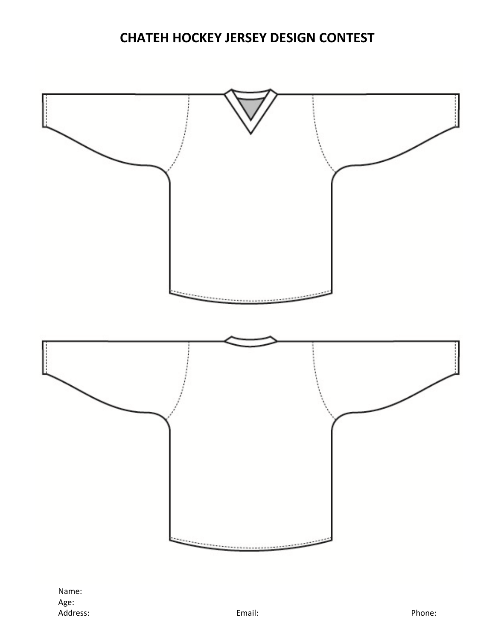